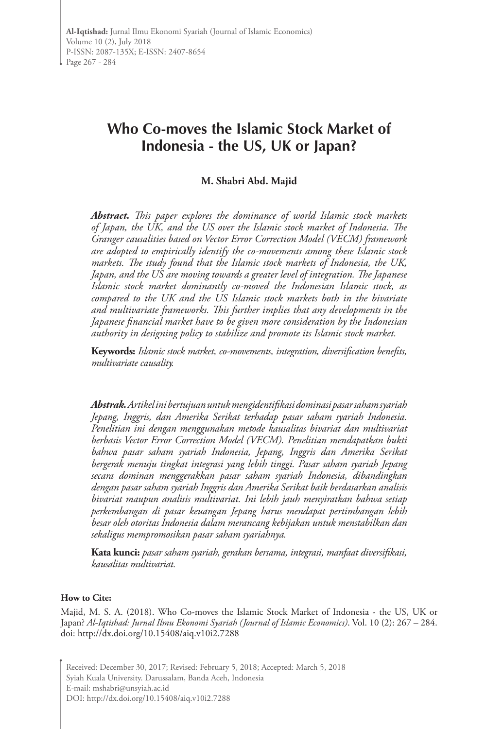# **Who Co-moves the Islamic Stock Market of Indonesia - the US, UK or Japan?**

#### **M. Shabri Abd. Majid**

*Abstract. This paper explores the dominance of world Islamic stock markets of Japan, the UK, and the US over the Islamic stock market of Indonesia. The Granger causalities based on Vector Error Correction Model (VECM) framework are adopted to empirically identify the co-movements among these Islamic stock markets. The study found that the Islamic stock markets of Indonesia, the UK, Japan, and the US are moving towards a greater level of integration. The Japanese Islamic stock market dominantly co-moved the Indonesian Islamic stock, as compared to the UK and the US Islamic stock markets both in the bivariate and multivariate frameworks. This further implies that any developments in the Japanese financial market have to be given more consideration by the Indonesian authority in designing policy to stabilize and promote its Islamic stock market.*

**Keywords:** *Islamic stock market, co-movements, integration, diversification benefits, multivariate causality.*

*Abstrak. Artikel ini bertujuan untuk mengidentifikasi dominasi pasar saham syariah Jepang, Inggris, dan Amerika Serikat terhadap pasar saham syariah Indonesia. Penelitian ini dengan menggunakan metode kausalitas bivariat dan multivariat berbasis Vector Error Correction Model (VECM). Penelitian mendapatkan bukti bahwa pasar saham syariah Indonesia, Jepang, Inggris dan Amerika Serikat bergerak menuju tingkat integrasi yang lebih tinggi. Pasar saham syariah Jepang secara dominan menggerakkan pasar saham syariah Indonesia, dibandingkan dengan pasar saham syariah Inggris dan Amerika Serikat baik berdasarkan analisis bivariat maupun analisis multivariat. Ini lebih jauh menyiratkan bahwa setiap perkembangan di pasar keuangan Jepang harus mendapat pertimbangan lebih besar oleh otoritas Indonesia dalam merancang kebijakan untuk menstabilkan dan sekaligus mempromosikan pasar saham syariahnya.*

**Kata kunci:** *pasar saham syariah, gerakan bersama, integrasi, manfaat diversifikasi, kausalitas multivariat.*

#### **How to Cite:**

Majid, M. S. A. (2018). Who Co-moves the Islamic Stock Market of Indonesia - the US, UK or Japan? *Al-Iqtishad: Jurnal Ilmu Ekonomi Syariah (Journal of Islamic Economics)*. Vol. 10 (2): 267 – 284. doi: http://dx.doi.org/10.15408/aiq.v10i2.7288

Received: December 30, 2017; Revised: February 5, 2018; Accepted: March 5, 2018 Syiah Kuala University. Darussalam, Banda Aceh, Indonesia E-mail: mshabri@unsyiah.ac.id DOI: http://dx.doi.org/10.15408/aiq.v10i2.7288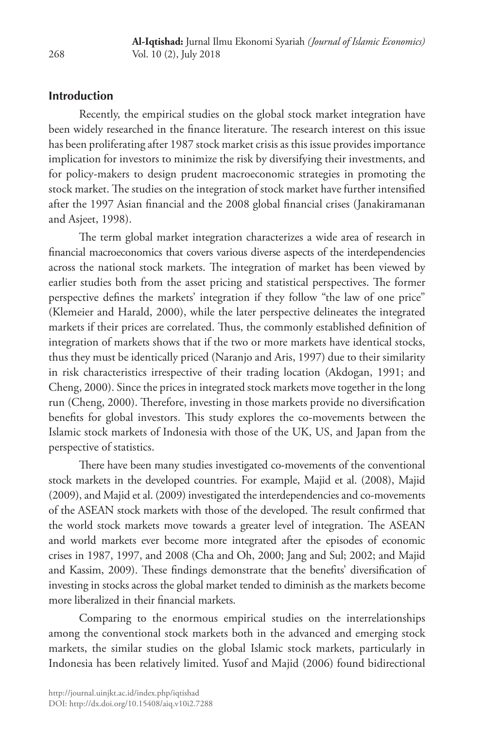### **Introduction**

Recently, the empirical studies on the global stock market integration have been widely researched in the finance literature. The research interest on this issue has been proliferating after 1987 stock market crisis as this issue provides importance implication for investors to minimize the risk by diversifying their investments, and for policy-makers to design prudent macroeconomic strategies in promoting the stock market. The studies on the integration of stock market have further intensified after the 1997 Asian financial and the 2008 global financial crises (Janakiramanan and Asjeet, 1998).

The term global market integration characterizes a wide area of research in financial macroeconomics that covers various diverse aspects of the interdependencies across the national stock markets. The integration of market has been viewed by earlier studies both from the asset pricing and statistical perspectives. The former perspective defines the markets' integration if they follow "the law of one price" (Klemeier and Harald, 2000), while the later perspective delineates the integrated markets if their prices are correlated. Thus, the commonly established definition of integration of markets shows that if the two or more markets have identical stocks, thus they must be identically priced (Naranjo and Aris, 1997) due to their similarity in risk characteristics irrespective of their trading location (Akdogan, 1991; and Cheng, 2000). Since the prices in integrated stock markets move together in the long run (Cheng, 2000). Therefore, investing in those markets provide no diversification benefits for global investors. This study explores the co-movements between the Islamic stock markets of Indonesia with those of the UK, US, and Japan from the perspective of statistics.

There have been many studies investigated co-movements of the conventional stock markets in the developed countries. For example, Majid et al. (2008), Majid (2009), and Majid et al. (2009) investigated the interdependencies and co-movements of the ASEAN stock markets with those of the developed. The result confirmed that the world stock markets move towards a greater level of integration. The ASEAN and world markets ever become more integrated after the episodes of economic crises in 1987, 1997, and 2008 (Cha and Oh, 2000; Jang and Sul; 2002; and Majid and Kassim, 2009). These findings demonstrate that the benefits' diversification of investing in stocks across the global market tended to diminish as the markets become more liberalized in their financial markets.

Comparing to the enormous empirical studies on the interrelationships among the conventional stock markets both in the advanced and emerging stock markets, the similar studies on the global Islamic stock markets, particularly in Indonesia has been relatively limited. Yusof and Majid (2006) found bidirectional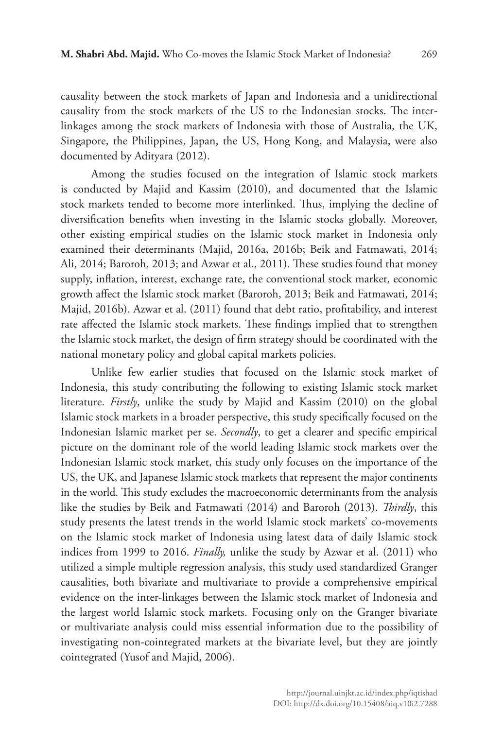causality between the stock markets of Japan and Indonesia and a unidirectional causality from the stock markets of the US to the Indonesian stocks. The interlinkages among the stock markets of Indonesia with those of Australia, the UK, Singapore, the Philippines, Japan, the US, Hong Kong, and Malaysia, were also documented by Adityara (2012).

Among the studies focused on the integration of Islamic stock markets is conducted by Majid and Kassim (2010), and documented that the Islamic stock markets tended to become more interlinked. Thus, implying the decline of diversification benefits when investing in the Islamic stocks globally. Moreover, other existing empirical studies on the Islamic stock market in Indonesia only examined their determinants (Majid, 2016a, 2016b; Beik and Fatmawati, 2014; Ali, 2014; Baroroh, 2013; and Azwar et al., 2011). These studies found that money supply, inflation, interest, exchange rate, the conventional stock market, economic growth affect the Islamic stock market (Baroroh, 2013; Beik and Fatmawati, 2014; Majid, 2016b). Azwar et al. (2011) found that debt ratio, profitability, and interest rate affected the Islamic stock markets. These findings implied that to strengthen the Islamic stock market, the design of firm strategy should be coordinated with the national monetary policy and global capital markets policies.

Unlike few earlier studies that focused on the Islamic stock market of Indonesia, this study contributing the following to existing Islamic stock market literature. *Firstly*, unlike the study by Majid and Kassim (2010) on the global Islamic stock markets in a broader perspective, this study specifically focused on the Indonesian Islamic market per se. *Secondly*, to get a clearer and specific empirical picture on the dominant role of the world leading Islamic stock markets over the Indonesian Islamic stock market, this study only focuses on the importance of the US, the UK, and Japanese Islamic stock markets that represent the major continents in the world. This study excludes the macroeconomic determinants from the analysis like the studies by Beik and Fatmawati (2014) and Baroroh (2013). *Thirdly*, this study presents the latest trends in the world Islamic stock markets' co-movements on the Islamic stock market of Indonesia using latest data of daily Islamic stock indices from 1999 to 2016. *Finally,* unlike the study by Azwar et al. (2011) who utilized a simple multiple regression analysis, this study used standardized Granger causalities, both bivariate and multivariate to provide a comprehensive empirical evidence on the inter-linkages between the Islamic stock market of Indonesia and the largest world Islamic stock markets. Focusing only on the Granger bivariate or multivariate analysis could miss essential information due to the possibility of investigating non-cointegrated markets at the bivariate level, but they are jointly cointegrated (Yusof and Majid, 2006).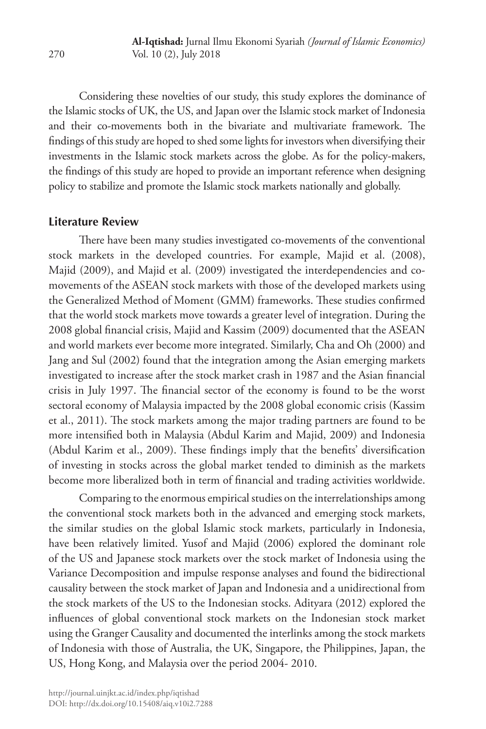Considering these novelties of our study, this study explores the dominance of the Islamic stocks of UK, the US, and Japan over the Islamic stock market of Indonesia and their co-movements both in the bivariate and multivariate framework. The findings of this study are hoped to shed some lights for investors when diversifying their investments in the Islamic stock markets across the globe. As for the policy-makers, the findings of this study are hoped to provide an important reference when designing policy to stabilize and promote the Islamic stock markets nationally and globally.

#### **Literature Review**

There have been many studies investigated co-movements of the conventional stock markets in the developed countries. For example, Majid et al. (2008), Majid (2009), and Majid et al. (2009) investigated the interdependencies and comovements of the ASEAN stock markets with those of the developed markets using the Generalized Method of Moment (GMM) frameworks. These studies confirmed that the world stock markets move towards a greater level of integration. During the 2008 global financial crisis, Majid and Kassim (2009) documented that the ASEAN and world markets ever become more integrated. Similarly, Cha and Oh (2000) and Jang and Sul (2002) found that the integration among the Asian emerging markets investigated to increase after the stock market crash in 1987 and the Asian financial crisis in July 1997. The financial sector of the economy is found to be the worst sectoral economy of Malaysia impacted by the 2008 global economic crisis (Kassim et al., 2011). The stock markets among the major trading partners are found to be more intensified both in Malaysia (Abdul Karim and Majid, 2009) and Indonesia (Abdul Karim et al., 2009). These findings imply that the benefits' diversification of investing in stocks across the global market tended to diminish as the markets become more liberalized both in term of financial and trading activities worldwide.

Comparing to the enormous empirical studies on the interrelationships among the conventional stock markets both in the advanced and emerging stock markets, the similar studies on the global Islamic stock markets, particularly in Indonesia, have been relatively limited. Yusof and Majid (2006) explored the dominant role of the US and Japanese stock markets over the stock market of Indonesia using the Variance Decomposition and impulse response analyses and found the bidirectional causality between the stock market of Japan and Indonesia and a unidirectional from the stock markets of the US to the Indonesian stocks. Adityara (2012) explored the influences of global conventional stock markets on the Indonesian stock market using the Granger Causality and documented the interlinks among the stock markets of Indonesia with those of Australia, the UK, Singapore, the Philippines, Japan, the US, Hong Kong, and Malaysia over the period 2004- 2010.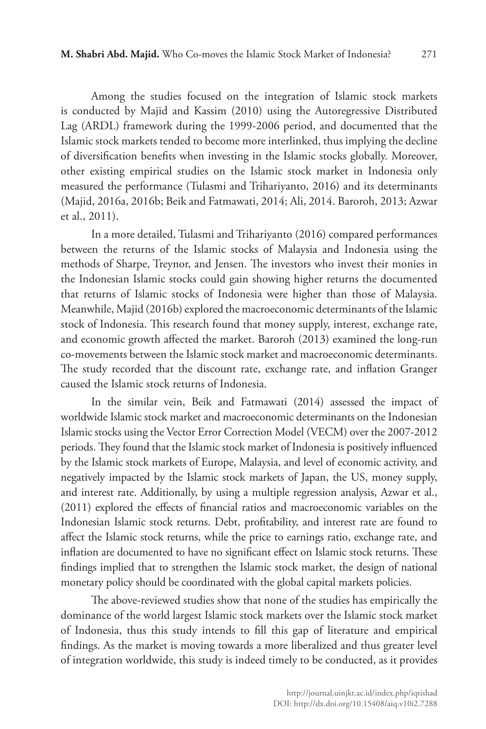Among the studies focused on the integration of Islamic stock markets is conducted by Majid and Kassim (2010) using the Autoregressive Distributed Lag (ARDL) framework during the 1999-2006 period, and documented that the Islamic stock markets tended to become more interlinked, thus implying the decline of diversification benefits when investing in the Islamic stocks globally. Moreover, other existing empirical studies on the Islamic stock market in Indonesia only measured the performance (Tulasmi and Trihariyanto, 2016) and its determinants (Majid, 2016a, 2016b; Beik and Fatmawati, 2014; Ali, 2014. Baroroh, 2013; Azwar et al., 2011).

In a more detailed, Tulasmi and Trihariyanto (2016) compared performances between the returns of the Islamic stocks of Malaysia and Indonesia using the methods of Sharpe, Treynor, and Jensen. The investors who invest their monies in the Indonesian Islamic stocks could gain showing higher returns the documented that returns of Islamic stocks of Indonesia were higher than those of Malaysia. Meanwhile, Majid (2016b) explored the macroeconomic determinants of the Islamic stock of Indonesia. This research found that money supply, interest, exchange rate, and economic growth affected the market. Baroroh (2013) examined the long-run co-movements between the Islamic stock market and macroeconomic determinants. The study recorded that the discount rate, exchange rate, and inflation Granger caused the Islamic stock returns of Indonesia.

In the similar vein, Beik and Fatmawati (2014) assessed the impact of worldwide Islamic stock market and macroeconomic determinants on the Indonesian Islamic stocks using the Vector Error Correction Model (VECM) over the 2007-2012 periods. They found that the Islamic stock market of Indonesia is positively influenced by the Islamic stock markets of Europe, Malaysia, and level of economic activity, and negatively impacted by the Islamic stock markets of Japan, the US, money supply, and interest rate. Additionally, by using a multiple regression analysis, Azwar et al., (2011) explored the effects of financial ratios and macroeconomic variables on the Indonesian Islamic stock returns. Debt, profitability, and interest rate are found to affect the Islamic stock returns, while the price to earnings ratio, exchange rate, and inflation are documented to have no significant effect on Islamic stock returns. These findings implied that to strengthen the Islamic stock market, the design of national monetary policy should be coordinated with the global capital markets policies.

The above-reviewed studies show that none of the studies has empirically the dominance of the world largest Islamic stock markets over the Islamic stock market of Indonesia, thus this study intends to fill this gap of literature and empirical findings. As the market is moving towards a more liberalized and thus greater level of integration worldwide, this study is indeed timely to be conducted, as it provides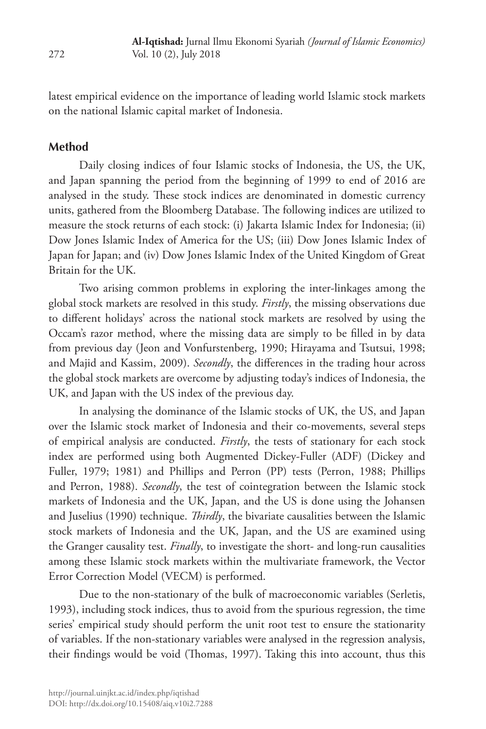latest empirical evidence on the importance of leading world Islamic stock markets on the national Islamic capital market of Indonesia.

#### **Method**

Daily closing indices of four Islamic stocks of Indonesia, the US, the UK, and Japan spanning the period from the beginning of 1999 to end of 2016 are analysed in the study. These stock indices are denominated in domestic currency units, gathered from the Bloomberg Database. The following indices are utilized to measure the stock returns of each stock: (i) Jakarta Islamic Index for Indonesia; (ii) Dow Jones Islamic Index of America for the US; (iii) Dow Jones Islamic Index of Japan for Japan; and (iv) Dow Jones Islamic Index of the United Kingdom of Great Britain for the UK.

Two arising common problems in exploring the inter-linkages among the global stock markets are resolved in this study. *Firstly*, the missing observations due to different holidays' across the national stock markets are resolved by using the Occam's razor method, where the missing data are simply to be filled in by data from previous day (Jeon and Vonfurstenberg, 1990; Hirayama and Tsutsui, 1998; and Majid and Kassim, 2009). *Secondly*, the differences in the trading hour across the global stock markets are overcome by adjusting today's indices of Indonesia, the UK, and Japan with the US index of the previous day.

In analysing the dominance of the Islamic stocks of UK, the US, and Japan over the Islamic stock market of Indonesia and their co-movements, several steps of empirical analysis are conducted. *Firstly*, the tests of stationary for each stock index are performed using both Augmented Dickey-Fuller (ADF) (Dickey and Fuller, 1979; 1981) and Phillips and Perron (PP) tests (Perron, 1988; Phillips and Perron, 1988). *Secondly*, the test of cointegration between the Islamic stock markets of Indonesia and the UK, Japan, and the US is done using the Johansen and Juselius (1990) technique. *Thirdly*, the bivariate causalities between the Islamic stock markets of Indonesia and the UK, Japan, and the US are examined using the Granger causality test. *Finally*, to investigate the short- and long-run causalities among these Islamic stock markets within the multivariate framework, the Vector Error Correction Model (VECM) is performed.

Due to the non-stationary of the bulk of macroeconomic variables (Serletis, 1993), including stock indices, thus to avoid from the spurious regression, the time series' empirical study should perform the unit root test to ensure the stationarity of variables. If the non-stationary variables were analysed in the regression analysis, their findings would be void (Thomas, 1997). Taking this into account, thus this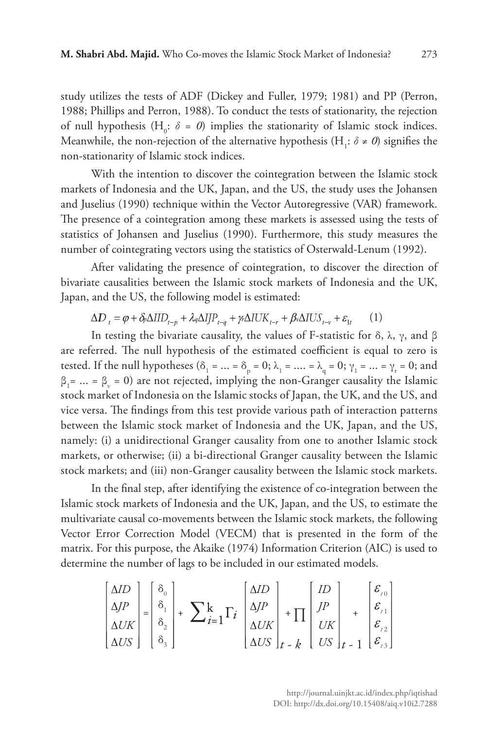study utilizes the tests of ADF (Dickey and Fuller, 1979; 1981) and PP (Perron, 1988; Phillips and Perron, 1988). To conduct the tests of stationarity, the rejection of null hypothesis ( $H_0$ :  $\delta = 0$ ) implies the stationarity of Islamic stock indices. Meanwhile, the non-rejection of the alternative hypothesis (H<sub>1</sub>:  $\delta \neq 0$ ) signifies the non-stationarity of Islamic stock indices.

With the intention to discover the cointegration between the Islamic stock markets of Indonesia and the UK, Japan, and the US, the study uses the Johansen and Juselius (1990) technique within the Vector Autoregressive (VAR) framework. The presence of a cointegration among these markets is assessed using the tests of statistics of Johansen and Juselius (1990). Furthermore, this study measures the number of cointegrating vectors using the statistics of Osterwald-Lenum (1992).

After validating the presence of cointegration, to discover the direction of bivariate causalities between the Islamic stock markets of Indonesia and the UK, Japan, and the US, the following model is estimated:

$$
\Delta D_{t} = \varphi + \delta_{\rho} \Delta IID_{t-p} + \lambda_{q} \Delta IIP_{t-q} + \gamma_{r} \Delta IUK_{t-r} + \beta_{v} \Delta IUS_{t-v} + \varepsilon_{1t} \tag{1}
$$

In testing the bivariate causality, the values of F-statistic for δ, λ, γ, and β are referred. The null hypothesis of the estimated coefficient is equal to zero is tested. If the null hypotheses ( $\delta_1 = ... = \delta_p = 0; \lambda_1 = ... = \lambda_q = 0; \gamma_1 = ... = \gamma_r = 0;$  and  $\beta_1 = ... = \beta_v = 0$ ) are not rejected, implying the non-Granger causality the Islamic stock market of Indonesia on the Islamic stocks of Japan, the UK, and the US, and vice versa. The findings from this test provide various path of interaction patterns between the Islamic stock market of Indonesia and the UK, Japan, and the US, namely: (i) a unidirectional Granger causality from one to another Islamic stock markets, or otherwise; (ii) a bi-directional Granger causality between the Islamic stock markets; and (iii) non-Granger causality between the Islamic stock markets.

In the final step, after identifying the existence of co-integration between the Islamic stock markets of Indonesia and the UK, Japan, and the US, to estimate the multivariate causal co-movements between the Islamic stock markets, the following Vector Error Correction Model (VECM) that is presented in the form of the matrix. For this purpose, the Akaike (1974) Information Criterion (AIC) is used to determine the number of lags to be included in our estimated models.

$$
\begin{bmatrix} \Delta ID \\ \Delta JP \\ \Delta UK \end{bmatrix} = \begin{bmatrix} \delta_0 \\ \delta_1 \\ \delta_2 \\ \delta_3 \end{bmatrix} + \sum_{i=1}^{k} \Gamma_i \begin{bmatrix} \Delta ID \\ \Delta JP \\ \Delta UK \end{bmatrix} + \prod_{i-k} \begin{bmatrix} ID \\ JP \\ \Delta UK \end{bmatrix} + \begin{bmatrix} \varepsilon_{i0} \\ \varepsilon_{i1} \\ UK \end{bmatrix}
$$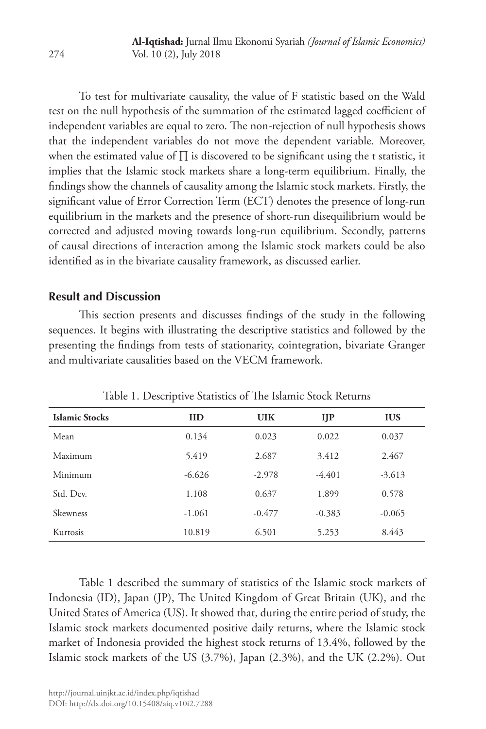To test for multivariate causality, the value of F statistic based on the Wald test on the null hypothesis of the summation of the estimated lagged coefficient of independent variables are equal to zero. The non-rejection of null hypothesis shows that the independent variables do not move the dependent variable. Moreover, when the estimated value of ∏ is discovered to be significant using the t statistic, it implies that the Islamic stock markets share a long-term equilibrium. Finally, the findings show the channels of causality among the Islamic stock markets. Firstly, the significant value of Error Correction Term (ECT) denotes the presence of long-run equilibrium in the markets and the presence of short-run disequilibrium would be corrected and adjusted moving towards long-run equilibrium. Secondly, patterns of causal directions of interaction among the Islamic stock markets could be also identified as in the bivariate causality framework, as discussed earlier.

### **Result and Discussion**

This section presents and discusses findings of the study in the following sequences. It begins with illustrating the descriptive statistics and followed by the presenting the findings from tests of stationarity, cointegration, bivariate Granger and multivariate causalities based on the VECM framework.

| <b>Islamic Stocks</b> | <b>IID</b> | <b>UIK</b> | IJP      | <b>IUS</b> |
|-----------------------|------------|------------|----------|------------|
| Mean                  | 0.134      | 0.023      | 0.022    | 0.037      |
| Maximum               | 5.419      | 2.687      | 3.412    | 2.467      |
| Minimum               | $-6.626$   | $-2.978$   | $-4.401$ | $-3.613$   |
| Std. Dev.             | 1.108      | 0.637      | 1.899    | 0.578      |
| Skewness              | $-1.061$   | $-0.477$   | $-0.383$ | $-0.065$   |
| <b>Kurtosis</b>       | 10.819     | 6.501      | 5.253    | 8.443      |

Table 1. Descriptive Statistics of The Islamic Stock Returns

Table 1 described the summary of statistics of the Islamic stock markets of Indonesia (ID), Japan (JP), The United Kingdom of Great Britain (UK), and the United States of America (US). It showed that, during the entire period of study, the Islamic stock markets documented positive daily returns, where the Islamic stock market of Indonesia provided the highest stock returns of 13.4%, followed by the Islamic stock markets of the US (3.7%), Japan (2.3%), and the UK (2.2%). Out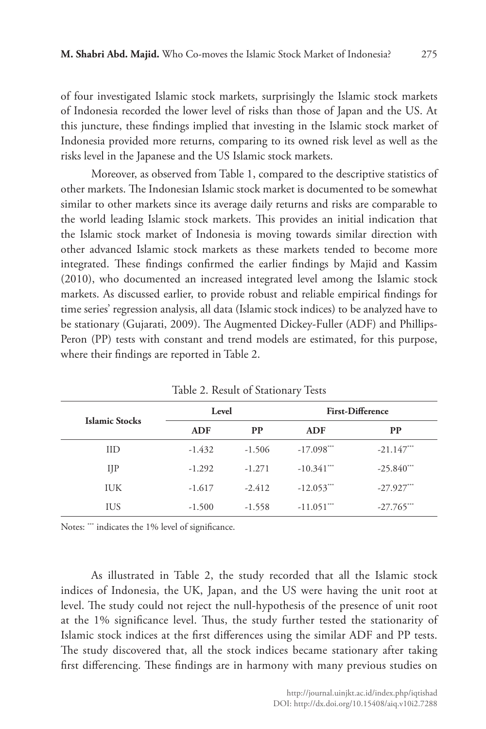of four investigated Islamic stock markets, surprisingly the Islamic stock markets of Indonesia recorded the lower level of risks than those of Japan and the US. At this juncture, these findings implied that investing in the Islamic stock market of Indonesia provided more returns, comparing to its owned risk level as well as the risks level in the Japanese and the US Islamic stock markets.

Moreover, as observed from Table 1, compared to the descriptive statistics of other markets. The Indonesian Islamic stock market is documented to be somewhat similar to other markets since its average daily returns and risks are comparable to the world leading Islamic stock markets. This provides an initial indication that the Islamic stock market of Indonesia is moving towards similar direction with other advanced Islamic stock markets as these markets tended to become more integrated. These findings confirmed the earlier findings by Majid and Kassim (2010), who documented an increased integrated level among the Islamic stock markets. As discussed earlier, to provide robust and reliable empirical findings for time series' regression analysis, all data (Islamic stock indices) to be analyzed have to be stationary (Gujarati, 2009). The Augmented Dickey-Fuller (ADF) and Phillips-Peron (PP) tests with constant and trend models are estimated, for this purpose, where their findings are reported in Table 2.

| <b>Islamic Stocks</b> |            | Level     |                          | <b>First-Difference</b> |  |  |
|-----------------------|------------|-----------|--------------------------|-------------------------|--|--|
|                       | <b>ADF</b> | <b>PP</b> | ADF                      | <b>PP</b>               |  |  |
| IID                   | $-1.432$   | $-1.506$  | $-17.098***$             | $-21.147$ ***           |  |  |
| $_{\rm IIP}$          | $-1.292$   | $-1.271$  | $-10.341***$             | $-25.840$ ***           |  |  |
| <b>IUK</b>            | $-1.617$   | $-2.412$  | $-12.053***$             | $-27.927***$            |  |  |
| IUS                   | $-1.500$   | $-1.558$  | $-11.051$ <sup>***</sup> | $-27.765$ ***           |  |  |

Table 2. Result of Stationary Tests

Notes: \*\*\* indicates the 1% level of significance.

As illustrated in Table 2, the study recorded that all the Islamic stock indices of Indonesia, the UK, Japan, and the US were having the unit root at level. The study could not reject the null-hypothesis of the presence of unit root at the 1% significance level. Thus, the study further tested the stationarity of Islamic stock indices at the first differences using the similar ADF and PP tests. The study discovered that, all the stock indices became stationary after taking first differencing. These findings are in harmony with many previous studies on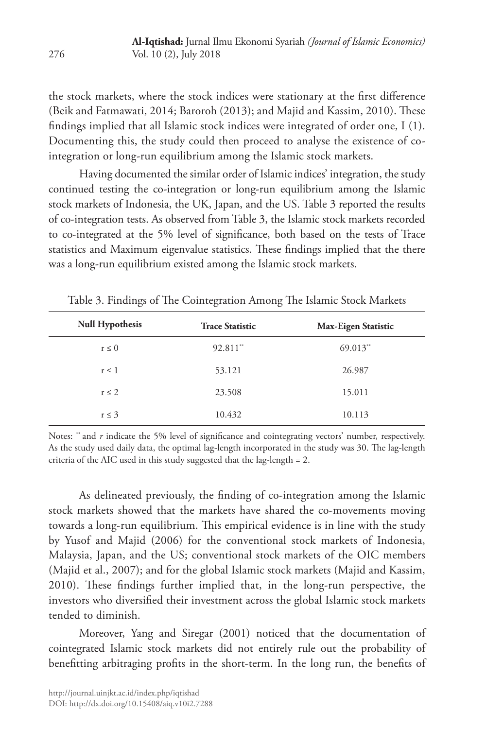the stock markets, where the stock indices were stationary at the first difference (Beik and Fatmawati, 2014; Baroroh (2013); and Majid and Kassim, 2010). These findings implied that all Islamic stock indices were integrated of order one, I (1). Documenting this, the study could then proceed to analyse the existence of cointegration or long-run equilibrium among the Islamic stock markets.

Having documented the similar order of Islamic indices' integration, the study continued testing the co-integration or long-run equilibrium among the Islamic stock markets of Indonesia, the UK, Japan, and the US. Table 3 reported the results of co-integration tests. As observed from Table 3, the Islamic stock markets recorded to co-integrated at the 5% level of significance, both based on the tests of Trace statistics and Maximum eigenvalue statistics. These findings implied that the there was a long-run equilibrium existed among the Islamic stock markets.

| <b>Null Hypothesis</b> | <b>Trace Statistic</b> | Max-Eigen Statistic |
|------------------------|------------------------|---------------------|
| $r \leq 0$             | $92.811$ **            | $69.013$ **         |
| $r \leq 1$             | 53.121                 | 26.987              |
| $r \leq 2$             | 23.508                 | 15.011              |
| $r \leq 3$             | 10.432                 | 10.113              |

Table 3. Findings of The Cointegration Among The Islamic Stock Markets

Notes: " and *r* indicate the 5% level of significance and cointegrating vectors' number, respectively. As the study used daily data, the optimal lag-length incorporated in the study was 30. The lag-length criteria of the AIC used in this study suggested that the lag-length = 2.

As delineated previously, the finding of co-integration among the Islamic stock markets showed that the markets have shared the co-movements moving towards a long-run equilibrium. This empirical evidence is in line with the study by Yusof and Majid (2006) for the conventional stock markets of Indonesia, Malaysia, Japan, and the US; conventional stock markets of the OIC members (Majid et al., 2007); and for the global Islamic stock markets (Majid and Kassim, 2010). These findings further implied that, in the long-run perspective, the investors who diversified their investment across the global Islamic stock markets tended to diminish.

Moreover, Yang and Siregar (2001) noticed that the documentation of cointegrated Islamic stock markets did not entirely rule out the probability of benefitting arbitraging profits in the short-term. In the long run, the benefits of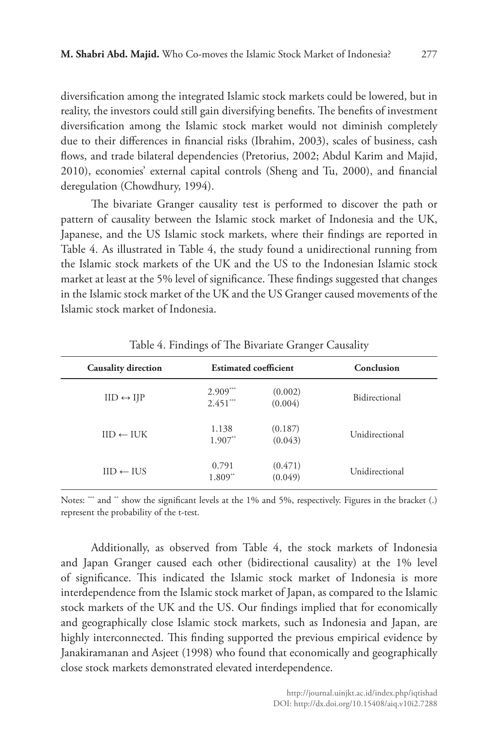diversification among the integrated Islamic stock markets could be lowered, but in reality, the investors could still gain diversifying benefits. The benefits of investment diversification among the Islamic stock market would not diminish completely due to their differences in financial risks (Ibrahim, 2003), scales of business, cash flows, and trade bilateral dependencies (Pretorius, 2002; Abdul Karim and Majid, 2010), economies' external capital controls (Sheng and Tu, 2000), and financial deregulation (Chowdhury, 1994).

The bivariate Granger causality test is performed to discover the path or pattern of causality between the Islamic stock market of Indonesia and the UK, Japanese, and the US Islamic stock markets, where their findings are reported in Table 4. As illustrated in Table 4, the study found a unidirectional running from the Islamic stock markets of the UK and the US to the Indonesian Islamic stock market at least at the 5% level of significance. These findings suggested that changes in the Islamic stock market of the UK and the US Granger caused movements of the Islamic stock market of Indonesia.

| <b>Causality direction</b> | <b>Estimated coefficient</b> |                    | Conclusion     |  |
|----------------------------|------------------------------|--------------------|----------------|--|
| $IID \leftrightarrow IJP$  | $2.909***$<br>$2.451***$     | (0.002)<br>(0.004) | Bidirectional  |  |
| $IID \leftarrow IUK$       | 1.138<br>$1.907$ **          | (0.187)<br>(0.043) | Unidirectional |  |
| $IID \leftarrow HJS$       | 0.791<br>1.809**             | (0.471)<br>(0.049) | Unidirectional |  |

Table 4. Findings of The Bivariate Granger Causality

Notes: "" and " show the significant levels at the 1% and 5%, respectively. Figures in the bracket (.) represent the probability of the t-test.

Additionally, as observed from Table 4, the stock markets of Indonesia and Japan Granger caused each other (bidirectional causality) at the 1% level of significance. This indicated the Islamic stock market of Indonesia is more interdependence from the Islamic stock market of Japan, as compared to the Islamic stock markets of the UK and the US. Our findings implied that for economically and geographically close Islamic stock markets, such as Indonesia and Japan, are highly interconnected. This finding supported the previous empirical evidence by Janakiramanan and Asjeet (1998) who found that economically and geographically close stock markets demonstrated elevated interdependence.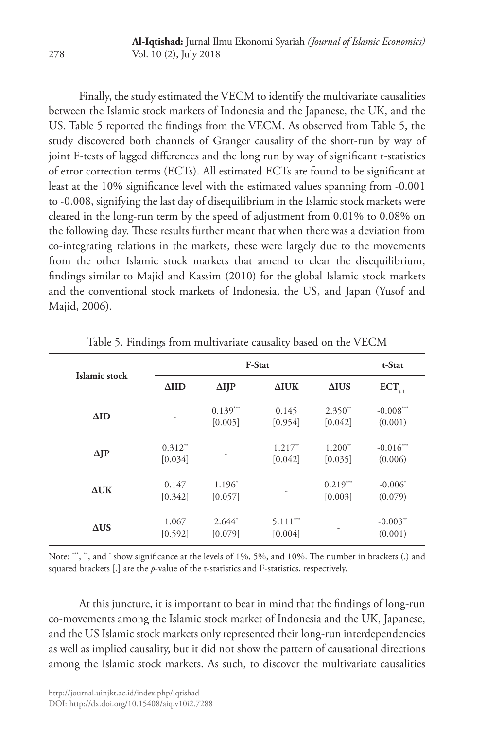Finally, the study estimated the VECM to identify the multivariate causalities between the Islamic stock markets of Indonesia and the Japanese, the UK, and the US. Table 5 reported the findings from the VECM. As observed from Table 5, the study discovered both channels of Granger causality of the short-run by way of joint F-tests of lagged differences and the long run by way of significant t-statistics of error correction terms (ECTs). All estimated ECTs are found to be significant at least at the 10% significance level with the estimated values spanning from -0.001 to -0.008, signifying the last day of disequilibrium in the Islamic stock markets were cleared in the long-run term by the speed of adjustment from 0.01% to 0.08% on the following day. These results further meant that when there was a deviation from co-integrating relations in the markets, these were largely due to the movements from the other Islamic stock markets that amend to clear the disequilibrium, findings similar to Majid and Kassim (2010) for the global Islamic stock markets and the conventional stock markets of Indonesia, the US, and Japan (Yusof and Majid, 2006).

| Islamic stock |                                  | F-Stat                |                       |                                  |                                   |
|---------------|----------------------------------|-----------------------|-----------------------|----------------------------------|-----------------------------------|
|               | $\Delta$ IID                     | $\Delta I$ JP         | $\Delta$ IUK          | $\triangle IUS$                  | $ECT_{_{t-1}}$                    |
| $\Delta$ ID   | ۰                                | $0.139***$<br>[0.005] | 0.145<br>[0.954]      | $2.350^{**}$<br>[0.042]          | $-0.008***$<br>(0.001)            |
| $\Delta$ JP   | $0.312$ <sup>**</sup><br>[0.034] | -                     | $1.217**$<br>[0.042]  | $1.200$ <sup>**</sup><br>[0.035] | $-0.016$ ***<br>(0.006)           |
| $\Delta$ UK   | 0.147<br>[0.342]                 | 1.196*<br>[0.057]     | ۰                     | $0.219***$<br>[0.003]            | $-0.006^*$<br>(0.079)             |
| $\Delta US$   | 1.067<br>[0.592]                 | $2.644*$<br>[0.079]   | $5.111***$<br>[0.004] |                                  | $-0.003$ <sup>**</sup><br>(0.001) |

Table 5. Findings from multivariate causality based on the VECM

Note: "", ", and  $\checkmark$  show significance at the levels of 1%, 5%, and 10%. The number in brackets (.) and squared brackets [.] are the *p*-value of the t-statistics and F-statistics, respectively.

At this juncture, it is important to bear in mind that the findings of long-run co-movements among the Islamic stock market of Indonesia and the UK, Japanese, and the US Islamic stock markets only represented their long-run interdependencies as well as implied causality, but it did not show the pattern of causational directions among the Islamic stock markets. As such, to discover the multivariate causalities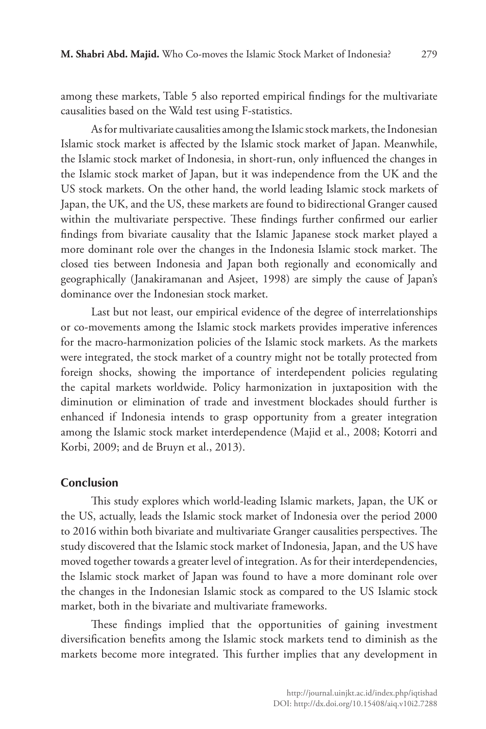among these markets, Table 5 also reported empirical findings for the multivariate causalities based on the Wald test using F-statistics.

As for multivariate causalities among the Islamic stock markets, the Indonesian Islamic stock market is affected by the Islamic stock market of Japan. Meanwhile, the Islamic stock market of Indonesia, in short-run, only influenced the changes in the Islamic stock market of Japan, but it was independence from the UK and the US stock markets. On the other hand, the world leading Islamic stock markets of Japan, the UK, and the US, these markets are found to bidirectional Granger caused within the multivariate perspective. These findings further confirmed our earlier findings from bivariate causality that the Islamic Japanese stock market played a more dominant role over the changes in the Indonesia Islamic stock market. The closed ties between Indonesia and Japan both regionally and economically and geographically (Janakiramanan and Asjeet, 1998) are simply the cause of Japan's dominance over the Indonesian stock market.

Last but not least, our empirical evidence of the degree of interrelationships or co-movements among the Islamic stock markets provides imperative inferences for the macro-harmonization policies of the Islamic stock markets. As the markets were integrated, the stock market of a country might not be totally protected from foreign shocks, showing the importance of interdependent policies regulating the capital markets worldwide. Policy harmonization in juxtaposition with the diminution or elimination of trade and investment blockades should further is enhanced if Indonesia intends to grasp opportunity from a greater integration among the Islamic stock market interdependence (Majid et al., 2008; Kotorri and Korbi, 2009; and de Bruyn et al., 2013).

#### **Conclusion**

This study explores which world-leading Islamic markets, Japan, the UK or the US, actually, leads the Islamic stock market of Indonesia over the period 2000 to 2016 within both bivariate and multivariate Granger causalities perspectives. The study discovered that the Islamic stock market of Indonesia, Japan, and the US have moved together towards a greater level of integration. As for their interdependencies, the Islamic stock market of Japan was found to have a more dominant role over the changes in the Indonesian Islamic stock as compared to the US Islamic stock market, both in the bivariate and multivariate frameworks.

These findings implied that the opportunities of gaining investment diversification benefits among the Islamic stock markets tend to diminish as the markets become more integrated. This further implies that any development in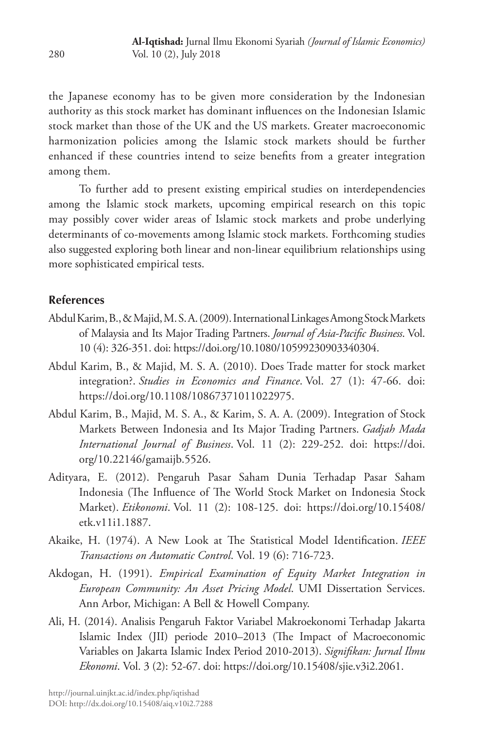the Japanese economy has to be given more consideration by the Indonesian authority as this stock market has dominant influences on the Indonesian Islamic stock market than those of the UK and the US markets. Greater macroeconomic harmonization policies among the Islamic stock markets should be further enhanced if these countries intend to seize benefits from a greater integration among them.

To further add to present existing empirical studies on interdependencies among the Islamic stock markets, upcoming empirical research on this topic may possibly cover wider areas of Islamic stock markets and probe underlying determinants of co-movements among Islamic stock markets. Forthcoming studies also suggested exploring both linear and non-linear equilibrium relationships using more sophisticated empirical tests.

## **References**

- Abdul Karim, B., & Majid, M. S. A. (2009). International Linkages Among Stock Markets of Malaysia and Its Major Trading Partners. *Journal of Asia-Pacific Business*. Vol. 10 (4): 326-351. doi: https://doi.org/10.1080/10599230903340304.
- Abdul Karim, B., & Majid, M. S. A. (2010). Does Trade matter for stock market integration?. *Studies in Economics and Finance*. Vol. 27 (1): 47-66. doi: https://doi.org/10.1108/10867371011022975.
- Abdul Karim, B., Majid, M. S. A., & Karim, S. A. A. (2009). Integration of Stock Markets Between Indonesia and Its Major Trading Partners. *Gadjah Mada International Journal of Business*. Vol. 11 (2): 229-252. doi: https://doi. org/10.22146/gamaijb.5526.
- Adityara, E. (2012). Pengaruh Pasar Saham Dunia Terhadap Pasar Saham Indonesia (The Influence of The World Stock Market on Indonesia Stock Market). *Etikonomi*. Vol. 11 (2): 108-125. doi: https://doi.org/10.15408/ etk.v11i1.1887.
- Akaike, H. (1974). A New Look at The Statistical Model Identification. *IEEE Transactions on Automatic Control*. Vol. 19 (6): 716-723.
- Akdogan, H. (1991). *Empirical Examination of Equity Market Integration in European Community: An Asset Pricing Model*. UMI Dissertation Services. Ann Arbor, Michigan: A Bell & Howell Company.
- Ali, H. (2014). Analisis Pengaruh Faktor Variabel Makroekonomi Terhadap Jakarta Islamic Index (JII) periode 2010–2013 (The Impact of Macroeconomic Variables on Jakarta Islamic Index Period 2010-2013). *Signifikan: Jurnal Ilmu Ekonomi*. Vol. 3 (2): 52-67. doi: https://doi.org/10.15408/sjie.v3i2.2061.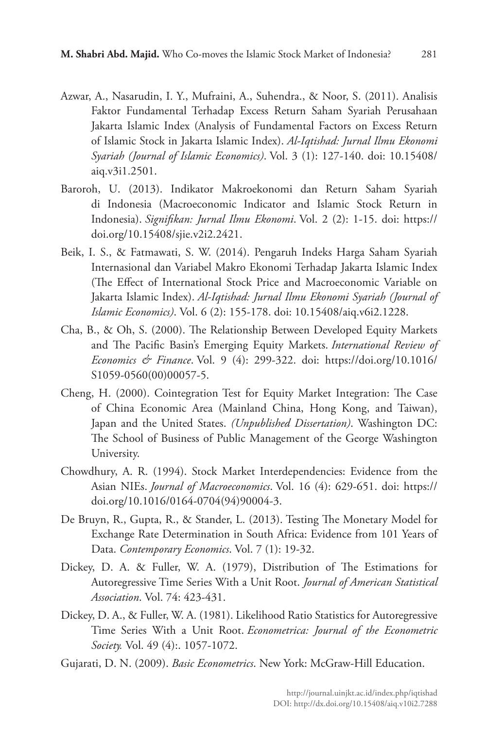- Azwar, A., Nasarudin, I. Y., Mufraini, A., Suhendra., & Noor, S. (2011). Analisis Faktor Fundamental Terhadap Excess Return Saham Syariah Perusahaan Jakarta Islamic Index (Analysis of Fundamental Factors on Excess Return of Islamic Stock in Jakarta Islamic Index). *Al-Iqtishad: Jurnal Ilmu Ekonomi Syariah (Journal of Islamic Economics)*. Vol. 3 (1): 127-140. doi: 10.15408/ aiq.v3i1.2501.
- Baroroh, U. (2013). Indikator Makroekonomi dan Return Saham Syariah di Indonesia (Macroeconomic Indicator and Islamic Stock Return in Indonesia). *Signifikan: Jurnal Ilmu Ekonomi*. Vol. 2 (2): 1-15. doi: https:// doi.org/10.15408/sjie.v2i2.2421.
- Beik, I. S., & Fatmawati, S. W. (2014). Pengaruh Indeks Harga Saham Syariah Internasional dan Variabel Makro Ekonomi Terhadap Jakarta Islamic Index (The Effect of International Stock Price and Macroeconomic Variable on Jakarta Islamic Index). *Al-Iqtishad: Jurnal Ilmu Ekonomi Syariah (Journal of Islamic Economics)*. Vol. 6 (2): 155-178. doi: 10.15408/aiq.v6i2.1228.
- Cha, B., & Oh, S. (2000). The Relationship Between Developed Equity Markets and The Pacific Basin's Emerging Equity Markets. *International Review of Economics & Finance*. Vol. 9 (4): 299-322. doi: https://doi.org/10.1016/ S1059-0560(00)00057-5.
- Cheng, H. (2000). Cointegration Test for Equity Market Integration: The Case of China Economic Area (Mainland China, Hong Kong, and Taiwan), Japan and the United States. *(Unpublished Dissertation)*. Washington DC: The School of Business of Public Management of the George Washington University.
- Chowdhury, A. R. (1994). Stock Market Interdependencies: Evidence from the Asian NIEs. *Journal of Macroeconomics*. Vol. 16 (4): 629-651. doi: https:// doi.org/10.1016/0164-0704(94)90004-3.
- De Bruyn, R., Gupta, R., & Stander, L. (2013). Testing The Monetary Model for Exchange Rate Determination in South Africa: Evidence from 101 Years of Data. *Contemporary Economics*. Vol. 7 (1): 19-32.
- Dickey, D. A. & Fuller, W. A. (1979), Distribution of The Estimations for Autoregressive Time Series With a Unit Root. *Journal of American Statistical Association*. Vol. 74: 423-431.
- Dickey, D. A., & Fuller, W. A. (1981). Likelihood Ratio Statistics for Autoregressive Time Series With a Unit Root. *Econometrica: Journal of the Econometric Society.* Vol. 49 (4):. 1057-1072.
- Gujarati, D. N. (2009). *Basic Econometrics*. New York: McGraw-Hill Education.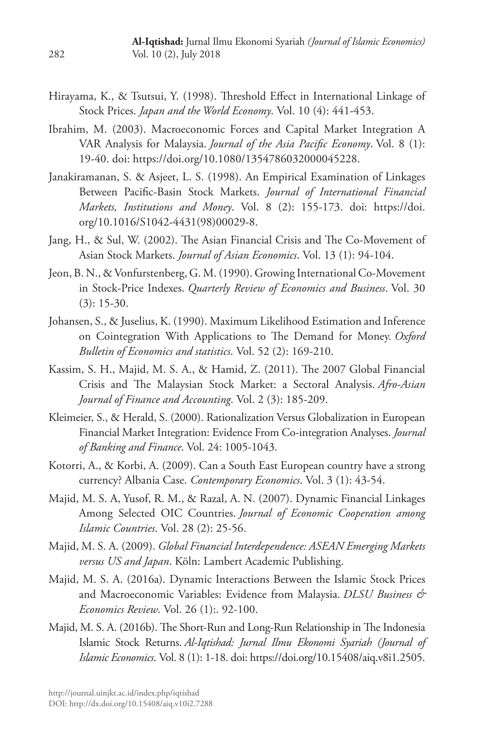- Hirayama, K., & Tsutsui, Y. (1998). Threshold Effect in International Linkage of Stock Prices. *Japan and the World Economy*. Vol. 10 (4): 441-453.
- Ibrahim, M. (2003). Macroeconomic Forces and Capital Market Integration A VAR Analysis for Malaysia. *Journal of the Asia Pacific Economy*. Vol. 8 (1): 19-40. doi: https://doi.org/10.1080/1354786032000045228.
- Janakiramanan, S. & Asjeet, L. S. (1998). An Empirical Examination of Linkages Between Pacific-Basin Stock Markets. *Journal of International Financial Markets, Institutions and Money*. Vol. 8 (2): 155-173. doi: https://doi. org/10.1016/S1042-4431(98)00029-8.
- Jang, H., & Sul, W. (2002). The Asian Financial Crisis and The Co-Movement of Asian Stock Markets. *Journal of Asian Economics*. Vol. 13 (1): 94-104.
- Jeon, B. N., & Vonfurstenberg, G. M. (1990). Growing International Co-Movement in Stock-Price Indexes. *Quarterly Review of Economics and Business*. Vol. 30  $(3): 15-30.$
- Johansen, S., & Juselius, K. (1990). Maximum Likelihood Estimation and Inference on Cointegration With Applications to The Demand for Money. *Oxford Bulletin of Economics and statistics*. Vol. 52 (2): 169-210.
- Kassim, S. H., Majid, M. S. A., & Hamid, Z. (2011). The 2007 Global Financial Crisis and The Malaysian Stock Market: a Sectoral Analysis. *Afro-Asian Journal of Finance and Accounting*. Vol. 2 (3): 185-209.
- Kleimeier, S., & Herald, S. (2000). Rationalization Versus Globalization in European Financial Market Integration: Evidence From Co-integration Analyses. *Journal of Banking and Finance*. Vol. 24: 1005-1043.
- Kotorri, A., & Korbi, A. (2009). Can a South East European country have a strong currency? Albania Case. *Contemporary Economics*. Vol. 3 (1): 43-54.
- Majid, M. S. A, Yusof, R. M., & Razal, A. N. (2007). Dynamic Financial Linkages Among Selected OIC Countries. *Journal of Economic Cooperation among Islamic Countries*. Vol. 28 (2): 25-56.
- Majid, M. S. A. (2009). *Global Financial Interdependence: ASEAN Emerging Markets versus US and Japan*. Köln: Lambert Academic Publishing.
- Majid, M. S. A. (2016a). Dynamic Interactions Between the Islamic Stock Prices and Macroeconomic Variables: Evidence from Malaysia. *DLSU Business & Economics Review*. Vol. 26 (1):. 92-100.
- Majid, M. S. A. (2016b). The Short-Run and Long-Run Relationship in The Indonesia Islamic Stock Returns. *Al-Iqtishad: Jurnal Ilmu Ekonomi Syariah (Journal of Islamic Economics*. Vol. 8 (1): 1-18. doi: https://doi.org/10.15408/aiq.v8i1.2505.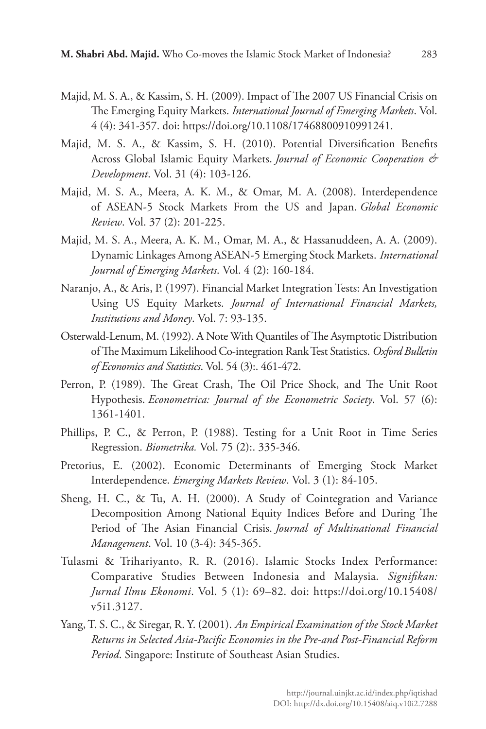- Majid, M. S. A., & Kassim, S. H. (2009). Impact of The 2007 US Financial Crisis on The Emerging Equity Markets. *International Journal of Emerging Markets*. Vol. 4 (4): 341-357. doi: https://doi.org/10.1108/17468800910991241.
- Majid, M. S. A., & Kassim, S. H. (2010). Potential Diversification Benefits Across Global Islamic Equity Markets. *Journal of Economic Cooperation & Development*. Vol. 31 (4): 103-126.
- Majid, M. S. A., Meera, A. K. M., & Omar, M. A. (2008). Interdependence of ASEAN-5 Stock Markets From the US and Japan. *Global Economic Review*. Vol. 37 (2): 201-225.
- Majid, M. S. A., Meera, A. K. M., Omar, M. A., & Hassanuddeen, A. A. (2009). Dynamic Linkages Among ASEAN-5 Emerging Stock Markets. *International Journal of Emerging Markets*. Vol. 4 (2): 160-184.
- Naranjo, A., & Aris, P. (1997). Financial Market Integration Tests: An Investigation Using US Equity Markets. *Journal of International Financial Markets, Institutions and Money*. Vol. 7: 93-135.
- Osterwald‐Lenum, M. (1992). A Note With Quantiles of The Asymptotic Distribution of The Maximum Likelihood Co-integration Rank Test Statistics. *Oxford Bulletin of Economics and Statistics*. Vol. 54 (3):. 461-472.
- Perron, P. (1989). The Great Crash, The Oil Price Shock, and The Unit Root Hypothesis. *Econometrica: Journal of the Econometric Society*. Vol. 57 (6): 1361-1401.
- Phillips, P. C., & Perron, P. (1988). Testing for a Unit Root in Time Series Regression. *Biometrika.* Vol. 75 (2):. 335-346.
- Pretorius, E. (2002). Economic Determinants of Emerging Stock Market Interdependence. *Emerging Markets Review*. Vol. 3 (1): 84-105.
- Sheng, H. C., & Tu, A. H. (2000). A Study of Cointegration and Variance Decomposition Among National Equity Indices Before and During The Period of The Asian Financial Crisis. *Journal of Multinational Financial Management*. Vol. 10 (3-4): 345-365.
- Tulasmi & Trihariyanto, R. R. (2016). Islamic Stocks Index Performance: Comparative Studies Between Indonesia and Malaysia. *Signifikan: Jurnal Ilmu Ekonomi*. Vol. 5 (1): 69–82. doi: https://doi.org/10.15408/ v5i1.3127.
- Yang, T. S. C., & Siregar, R. Y. (2001). *An Empirical Examination of the Stock Market Returns in Selected Asia-Pacific Economies in the Pre-and Post-Financial Reform Period*. Singapore: Institute of Southeast Asian Studies.